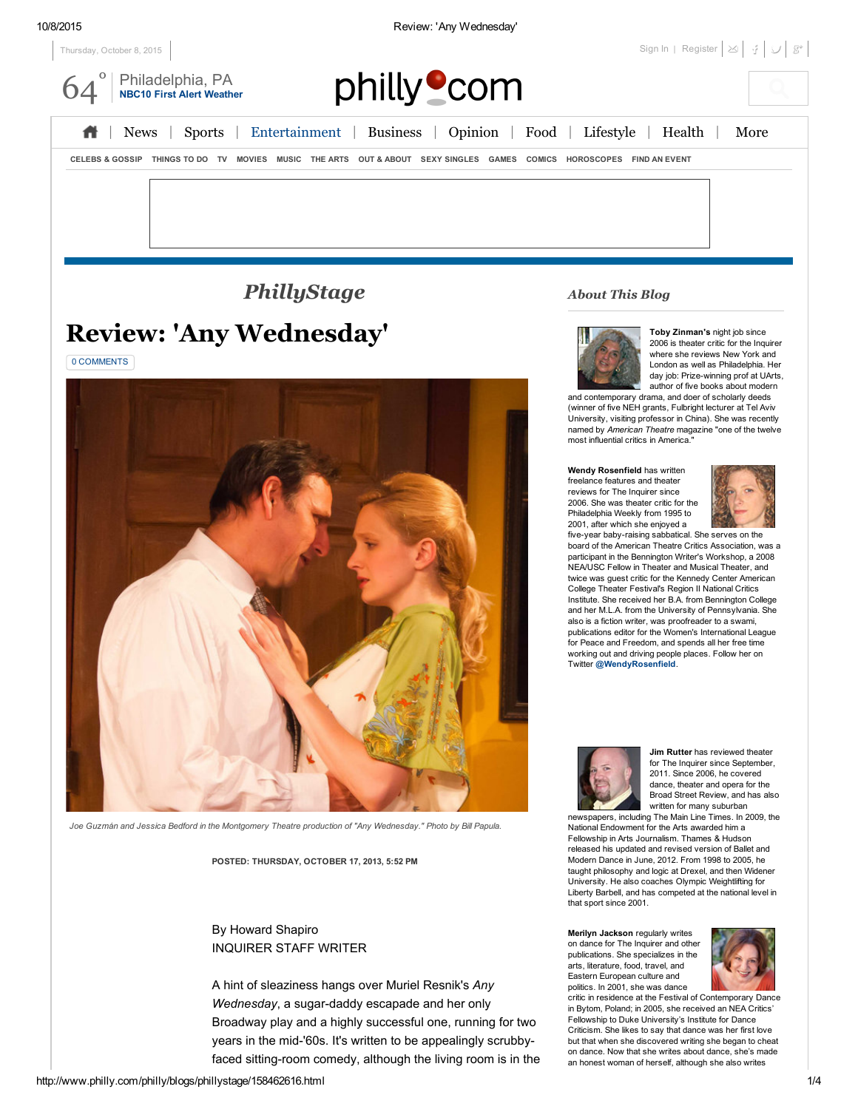

[PhillyStage](http://www.philly.com/philly/blogs/phillystage)

# Review: 'Any Wednesday'

0 COMMENTS



Joe Guzmán and Jessica Bedford in the Montgomery Theatre production of "Any Wednesday." Photo by Bill Papula

POSTED: THURSDAY, OCTOBER 17, 2013, 5:52 PM

## By Howard Shapiro INQUIRER STAFF WRITER

A hint of sleaziness hangs over Muriel Resnik's *Any Wednesday*, a sugar-daddy escapade and her only Broadway play and a highly successful one, running for two years in the mid-'60s. It's written to be appealingly scrubbyfaced sitting-room comedy, although the living room is in the

#### http://www.philly.com/philly/blogs/phi[llystage/158462616.html](http://www.philly.com/inquirer) 1/4

## About This Blog



Toby Zinman's night job since 2006 is theater critic for the Inquirer where she reviews New York and London as well as Philadelphia. Her day job: Prize-winning prof at UArts, author of five books about modern

and contemporary drama, and doer of scholarly deeds (winner of five NEH grants, Fulbright lecturer at Tel Aviv University, visiting professor in China). She was recently named by *American Theatre* magazine "one of the twelve most influential critics in America.

Wendy Rosenfield has written freelance features and theater reviews for The Inquirer since 2006. She was theater critic for the Philadelphia Weekly from 1995 to 2001, after which she enjoyed a



five-year baby-raising sabbatical. She serves on the board of the American Theatre Critics Association, was a participant in the Bennington Writer's Workshop, a 2008 NEA/USC Fellow in Theater and Musical Theater, and twice was guest critic for the Kennedy Center American College Theater Festival's Region II National Critics Institute. She received her B.A. from Bennington College and her M.L.A. from the University of Pennsylvania. She also is a fiction writer, was proofreader to a swami, publications editor for the Women's International League for Peace and Freedom, and spends all her free time working out and driving people places. Follow her on Twitter [@WendyRosenfield.](https://twitter.com/WendyRosenfield)



Jim Rutter has reviewed theater for The Inquirer since September. 2011. Since 2006, he covered dance, theater and opera for the Broad Street Review, and has also written for many suburban

newspapers, including The Main Line Times. In 2009, the National Endowment for the Arts awarded him a Fellowship in Arts Journalism. Thames & Hudson released his updated and revised version of Ballet and Modern Dance in June, 2012. From 1998 to 2005, he taught philosophy and logic at Drexel, and then Widener University. He also coaches Olympic Weightlifting for Liberty Barbell, and has competed at the national level in that sport since 2001.

Merilyn Jackson regularly writes on dance for The Inquirer and other publications. She specializes in the arts, literature, food, travel, and Eastern European culture and politics. In 2001, she was dance critic in residence at the Festival of Contemporary Dance



in Bytom, Poland; in 2005, she received an NEA Critics' Fellowship to Duke University's Institute for Dance Criticism. She likes to say that dance was her first love but that when she discovered writing she began to cheat on dance. Now that she writes about dance, she's made an honest woman of herself, although she also writes